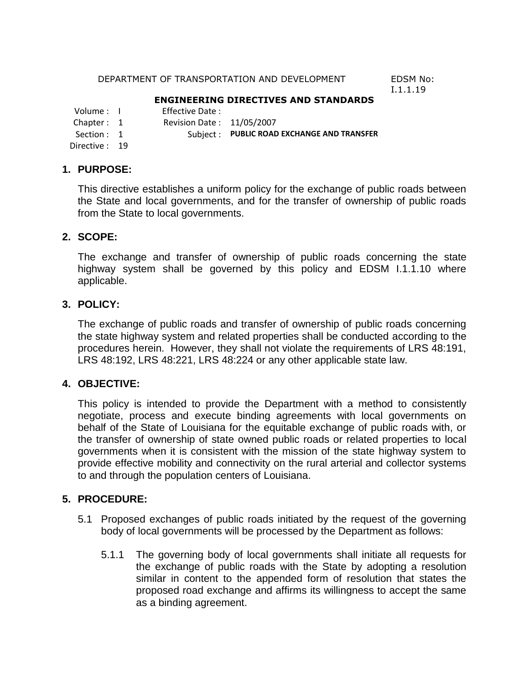#### DEPARTMENT OF TRANSPORTATION AND DEVELOPMENT EDSM No:

I.1.1.19

## **ENGINEERING DIRECTIVES AND STANDARDS**

Volume : I Effective Date :<br>Chapter : 1 Revision Date :

Revision Date: 11/05/2007

Section : 1 Subject : **PUBLIC ROAD EXCHANGE AND TRANSFER** 

Directive : 19

## **1. PURPOSE:**

This directive establishes a uniform policy for the exchange of public roads between the State and local governments, and for the transfer of ownership of public roads from the State to local governments.

## **2. SCOPE:**

The exchange and transfer of ownership of public roads concerning the state highway system shall be governed by this policy and EDSM I.1.1.10 where applicable.

## **3. POLICY:**

The exchange of public roads and transfer of ownership of public roads concerning the state highway system and related properties shall be conducted according to the procedures herein. However, they shall not violate the requirements of LRS 48:191, LRS 48:192, LRS 48:221, LRS 48:224 or any other applicable state law.

## **4. OBJECTIVE:**

This policy is intended to provide the Department with a method to consistently negotiate, process and execute binding agreements with local governments on behalf of the State of Louisiana for the equitable exchange of public roads with, or the transfer of ownership of state owned public roads or related properties to local governments when it is consistent with the mission of the state highway system to provide effective mobility and connectivity on the rural arterial and collector systems to and through the population centers of Louisiana.

## **5. PROCEDURE:**

- 5.1 Proposed exchanges of public roads initiated by the request of the governing body of local governments will be processed by the Department as follows:
	- 5.1.1 The governing body of local governments shall initiate all requests for the exchange of public roads with the State by adopting a resolution similar in content to the appended form of resolution that states the proposed road exchange and affirms its willingness to accept the same as a binding agreement.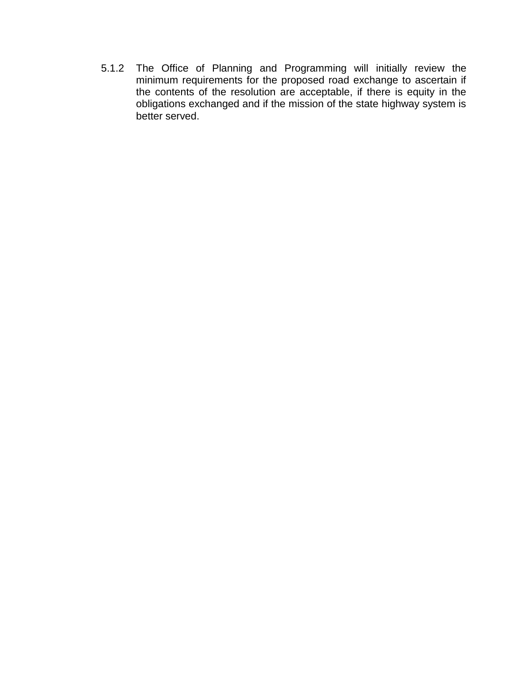5.1.2 The Office of Planning and Programming will initially review the minimum requirements for the proposed road exchange to ascertain if the contents of the resolution are acceptable, if there is equity in the obligations exchanged and if the mission of the state highway system is better served.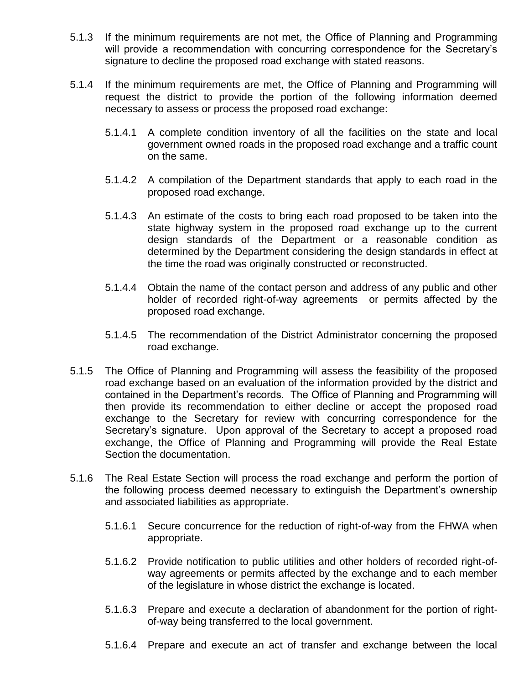- 5.1.3 If the minimum requirements are not met, the Office of Planning and Programming will provide a recommendation with concurring correspondence for the Secretary's signature to decline the proposed road exchange with stated reasons.
- 5.1.4 If the minimum requirements are met, the Office of Planning and Programming will request the district to provide the portion of the following information deemed necessary to assess or process the proposed road exchange:
	- 5.1.4.1 A complete condition inventory of all the facilities on the state and local government owned roads in the proposed road exchange and a traffic count on the same.
	- 5.1.4.2 A compilation of the Department standards that apply to each road in the proposed road exchange.
	- 5.1.4.3 An estimate of the costs to bring each road proposed to be taken into the state highway system in the proposed road exchange up to the current design standards of the Department or a reasonable condition as determined by the Department considering the design standards in effect at the time the road was originally constructed or reconstructed.
	- 5.1.4.4 Obtain the name of the contact person and address of any public and other holder of recorded right-of-way agreements or permits affected by the proposed road exchange.
	- 5.1.4.5 The recommendation of the District Administrator concerning the proposed road exchange.
- 5.1.5 The Office of Planning and Programming will assess the feasibility of the proposed road exchange based on an evaluation of the information provided by the district and contained in the Department's records. The Office of Planning and Programming will then provide its recommendation to either decline or accept the proposed road exchange to the Secretary for review with concurring correspondence for the Secretary's signature. Upon approval of the Secretary to accept a proposed road exchange, the Office of Planning and Programming will provide the Real Estate Section the documentation.
- 5.1.6 The Real Estate Section will process the road exchange and perform the portion of the following process deemed necessary to extinguish the Department's ownership and associated liabilities as appropriate.
	- 5.1.6.1 Secure concurrence for the reduction of right-of-way from the FHWA when appropriate.
	- 5.1.6.2 Provide notification to public utilities and other holders of recorded right-ofway agreements or permits affected by the exchange and to each member of the legislature in whose district the exchange is located.
	- 5.1.6.3 Prepare and execute a declaration of abandonment for the portion of rightof-way being transferred to the local government.
	- 5.1.6.4 Prepare and execute an act of transfer and exchange between the local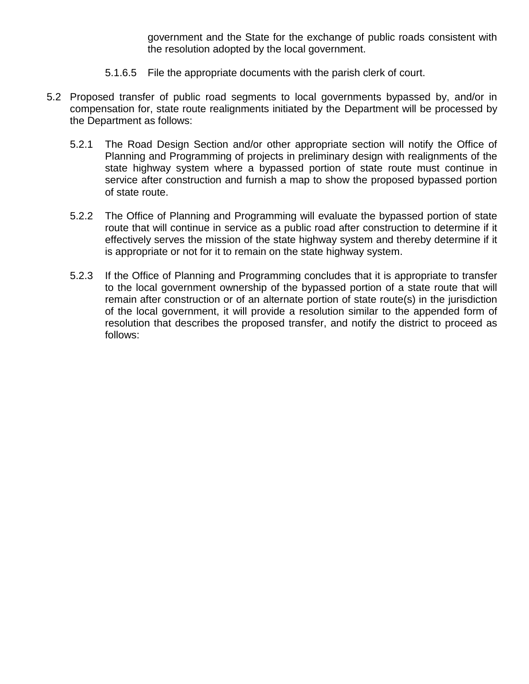government and the State for the exchange of public roads consistent with the resolution adopted by the local government.

- 5.1.6.5 File the appropriate documents with the parish clerk of court.
- 5.2 Proposed transfer of public road segments to local governments bypassed by, and/or in compensation for, state route realignments initiated by the Department will be processed by the Department as follows:
	- 5.2.1 The Road Design Section and/or other appropriate section will notify the Office of Planning and Programming of projects in preliminary design with realignments of the state highway system where a bypassed portion of state route must continue in service after construction and furnish a map to show the proposed bypassed portion of state route.
	- 5.2.2 The Office of Planning and Programming will evaluate the bypassed portion of state route that will continue in service as a public road after construction to determine if it effectively serves the mission of the state highway system and thereby determine if it is appropriate or not for it to remain on the state highway system.
	- 5.2.3 If the Office of Planning and Programming concludes that it is appropriate to transfer to the local government ownership of the bypassed portion of a state route that will remain after construction or of an alternate portion of state route(s) in the jurisdiction of the local government, it will provide a resolution similar to the appended form of resolution that describes the proposed transfer, and notify the district to proceed as follows: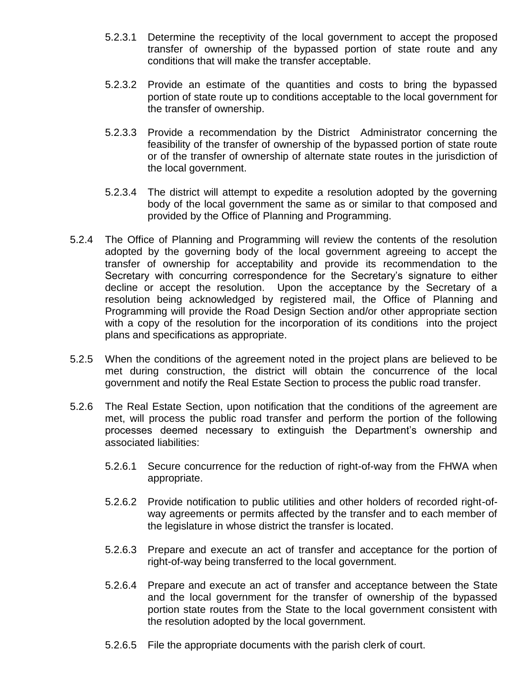- 5.2.3.1 Determine the receptivity of the local government to accept the proposed transfer of ownership of the bypassed portion of state route and any conditions that will make the transfer acceptable.
- 5.2.3.2 Provide an estimate of the quantities and costs to bring the bypassed portion of state route up to conditions acceptable to the local government for the transfer of ownership.
- 5.2.3.3 Provide a recommendation by the District Administrator concerning the feasibility of the transfer of ownership of the bypassed portion of state route or of the transfer of ownership of alternate state routes in the jurisdiction of the local government.
- 5.2.3.4 The district will attempt to expedite a resolution adopted by the governing body of the local government the same as or similar to that composed and provided by the Office of Planning and Programming.
- 5.2.4 The Office of Planning and Programming will review the contents of the resolution adopted by the governing body of the local government agreeing to accept the transfer of ownership for acceptability and provide its recommendation to the Secretary with concurring correspondence for the Secretary's signature to either decline or accept the resolution. Upon the acceptance by the Secretary of a resolution being acknowledged by registered mail, the Office of Planning and Programming will provide the Road Design Section and/or other appropriate section with a copy of the resolution for the incorporation of its conditions into the project plans and specifications as appropriate.
- 5.2.5 When the conditions of the agreement noted in the project plans are believed to be met during construction, the district will obtain the concurrence of the local government and notify the Real Estate Section to process the public road transfer.
- 5.2.6 The Real Estate Section, upon notification that the conditions of the agreement are met, will process the public road transfer and perform the portion of the following processes deemed necessary to extinguish the Department's ownership and associated liabilities:
	- 5.2.6.1 Secure concurrence for the reduction of right-of-way from the FHWA when appropriate.
	- 5.2.6.2 Provide notification to public utilities and other holders of recorded right-ofway agreements or permits affected by the transfer and to each member of the legislature in whose district the transfer is located.
	- 5.2.6.3 Prepare and execute an act of transfer and acceptance for the portion of right-of-way being transferred to the local government.
	- 5.2.6.4 Prepare and execute an act of transfer and acceptance between the State and the local government for the transfer of ownership of the bypassed portion state routes from the State to the local government consistent with the resolution adopted by the local government.
	- 5.2.6.5 File the appropriate documents with the parish clerk of court.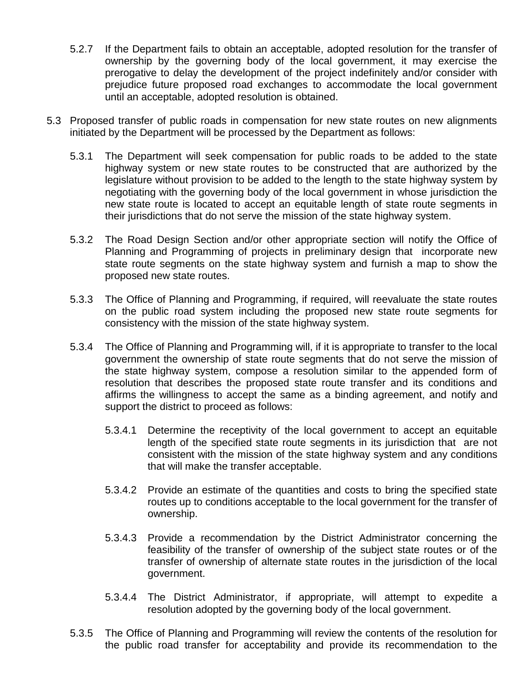- 5.2.7 If the Department fails to obtain an acceptable, adopted resolution for the transfer of ownership by the governing body of the local government, it may exercise the prerogative to delay the development of the project indefinitely and/or consider with prejudice future proposed road exchanges to accommodate the local government until an acceptable, adopted resolution is obtained.
- 5.3 Proposed transfer of public roads in compensation for new state routes on new alignments initiated by the Department will be processed by the Department as follows:
	- 5.3.1 The Department will seek compensation for public roads to be added to the state highway system or new state routes to be constructed that are authorized by the legislature without provision to be added to the length to the state highway system by negotiating with the governing body of the local government in whose jurisdiction the new state route is located to accept an equitable length of state route segments in their jurisdictions that do not serve the mission of the state highway system.
	- 5.3.2 The Road Design Section and/or other appropriate section will notify the Office of Planning and Programming of projects in preliminary design that incorporate new state route segments on the state highway system and furnish a map to show the proposed new state routes.
	- 5.3.3 The Office of Planning and Programming, if required, will reevaluate the state routes on the public road system including the proposed new state route segments for consistency with the mission of the state highway system.
	- 5.3.4 The Office of Planning and Programming will, if it is appropriate to transfer to the local government the ownership of state route segments that do not serve the mission of the state highway system, compose a resolution similar to the appended form of resolution that describes the proposed state route transfer and its conditions and affirms the willingness to accept the same as a binding agreement, and notify and support the district to proceed as follows:
		- 5.3.4.1 Determine the receptivity of the local government to accept an equitable length of the specified state route segments in its jurisdiction that are not consistent with the mission of the state highway system and any conditions that will make the transfer acceptable.
		- 5.3.4.2 Provide an estimate of the quantities and costs to bring the specified state routes up to conditions acceptable to the local government for the transfer of ownership.
		- 5.3.4.3 Provide a recommendation by the District Administrator concerning the feasibility of the transfer of ownership of the subject state routes or of the transfer of ownership of alternate state routes in the jurisdiction of the local government.
		- 5.3.4.4 The District Administrator, if appropriate, will attempt to expedite a resolution adopted by the governing body of the local government.
	- 5.3.5 The Office of Planning and Programming will review the contents of the resolution for the public road transfer for acceptability and provide its recommendation to the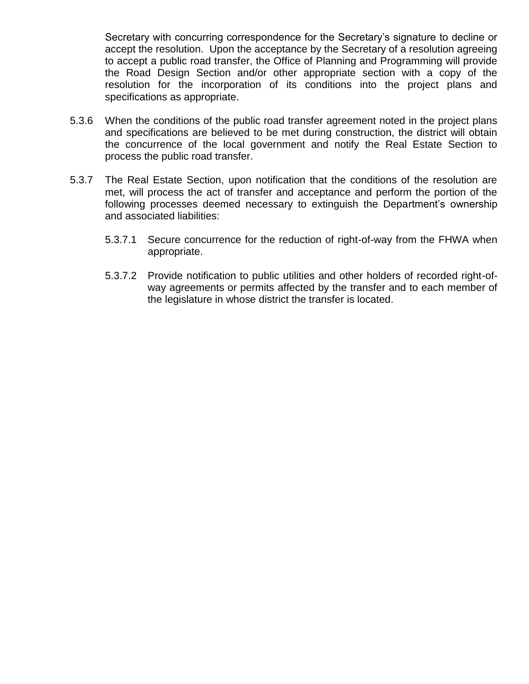Secretary with concurring correspondence for the Secretary's signature to decline or accept the resolution. Upon the acceptance by the Secretary of a resolution agreeing to accept a public road transfer, the Office of Planning and Programming will provide the Road Design Section and/or other appropriate section with a copy of the resolution for the incorporation of its conditions into the project plans and specifications as appropriate.

- 5.3.6 When the conditions of the public road transfer agreement noted in the project plans and specifications are believed to be met during construction, the district will obtain the concurrence of the local government and notify the Real Estate Section to process the public road transfer.
- 5.3.7 The Real Estate Section, upon notification that the conditions of the resolution are met, will process the act of transfer and acceptance and perform the portion of the following processes deemed necessary to extinguish the Department's ownership and associated liabilities:
	- 5.3.7.1 Secure concurrence for the reduction of right-of-way from the FHWA when appropriate.
	- 5.3.7.2 Provide notification to public utilities and other holders of recorded right-ofway agreements or permits affected by the transfer and to each member of the legislature in whose district the transfer is located.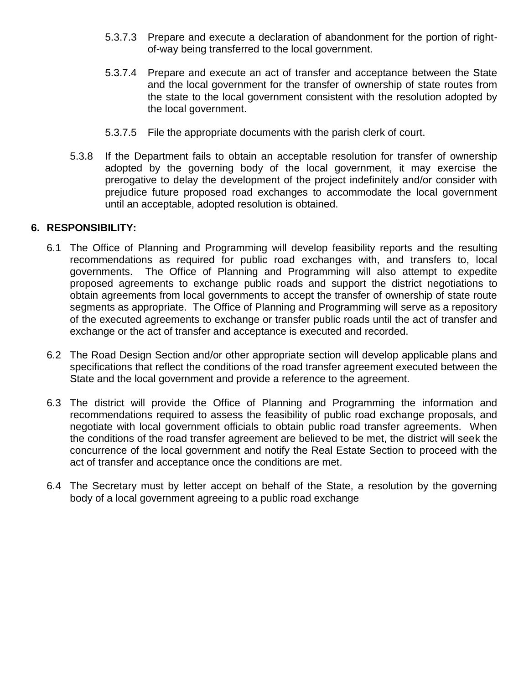- 5.3.7.3 Prepare and execute a declaration of abandonment for the portion of rightof-way being transferred to the local government.
- 5.3.7.4 Prepare and execute an act of transfer and acceptance between the State and the local government for the transfer of ownership of state routes from the state to the local government consistent with the resolution adopted by the local government.
- 5.3.7.5 File the appropriate documents with the parish clerk of court.
- 5.3.8 If the Department fails to obtain an acceptable resolution for transfer of ownership adopted by the governing body of the local government, it may exercise the prerogative to delay the development of the project indefinitely and/or consider with prejudice future proposed road exchanges to accommodate the local government until an acceptable, adopted resolution is obtained.

## **6. RESPONSIBILITY:**

- 6.1 The Office of Planning and Programming will develop feasibility reports and the resulting recommendations as required for public road exchanges with, and transfers to, local governments. The Office of Planning and Programming will also attempt to expedite proposed agreements to exchange public roads and support the district negotiations to obtain agreements from local governments to accept the transfer of ownership of state route segments as appropriate. The Office of Planning and Programming will serve as a repository of the executed agreements to exchange or transfer public roads until the act of transfer and exchange or the act of transfer and acceptance is executed and recorded.
- 6.2 The Road Design Section and/or other appropriate section will develop applicable plans and specifications that reflect the conditions of the road transfer agreement executed between the State and the local government and provide a reference to the agreement.
- 6.3 The district will provide the Office of Planning and Programming the information and recommendations required to assess the feasibility of public road exchange proposals, and negotiate with local government officials to obtain public road transfer agreements. When the conditions of the road transfer agreement are believed to be met, the district will seek the concurrence of the local government and notify the Real Estate Section to proceed with the act of transfer and acceptance once the conditions are met.
- 6.4 The Secretary must by letter accept on behalf of the State, a resolution by the governing body of a local government agreeing to a public road exchange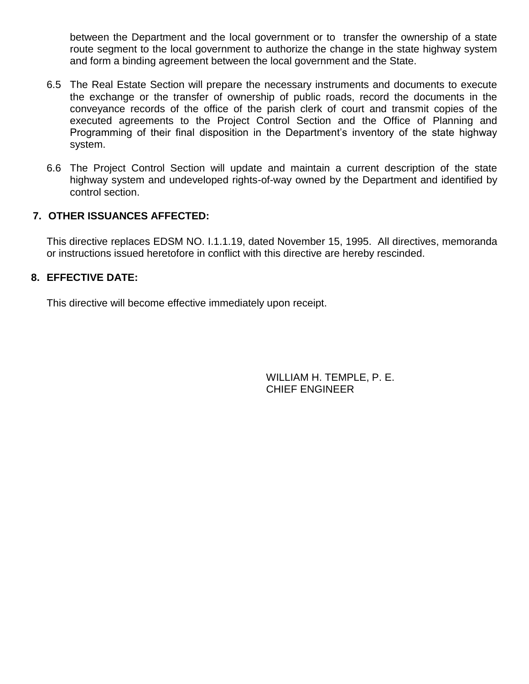between the Department and the local government or to transfer the ownership of a state route segment to the local government to authorize the change in the state highway system and form a binding agreement between the local government and the State.

- 6.5 The Real Estate Section will prepare the necessary instruments and documents to execute the exchange or the transfer of ownership of public roads, record the documents in the conveyance records of the office of the parish clerk of court and transmit copies of the executed agreements to the Project Control Section and the Office of Planning and Programming of their final disposition in the Department's inventory of the state highway system.
- 6.6 The Project Control Section will update and maintain a current description of the state highway system and undeveloped rights-of-way owned by the Department and identified by control section.

# **7. OTHER ISSUANCES AFFECTED:**

This directive replaces EDSM NO. I.1.1.19, dated November 15, 1995. All directives, memoranda or instructions issued heretofore in conflict with this directive are hereby rescinded.

# **8. EFFECTIVE DATE:**

This directive will become effective immediately upon receipt.

WILLIAM H. TEMPLE, P. E. CHIEF ENGINEER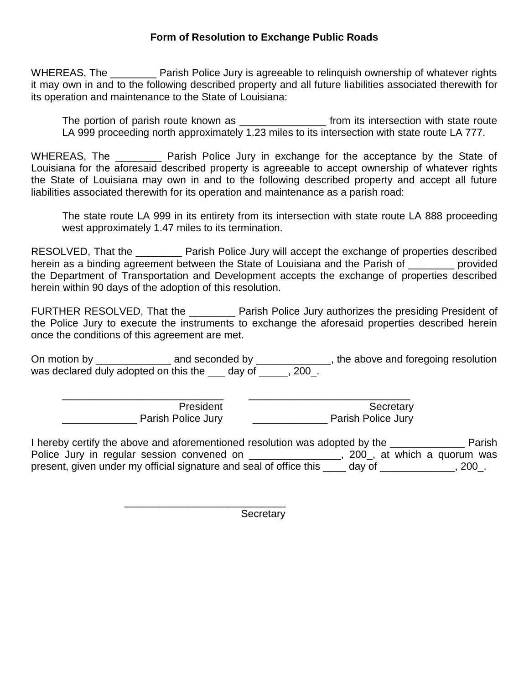# **Form of Resolution to Exchange Public Roads**

WHEREAS, The **Example 2 Parish Police Jury is agreeable to relinguish ownership of whatever rights** it may own in and to the following described property and all future liabilities associated therewith for its operation and maintenance to the State of Louisiana:

The portion of parish route known as \_\_\_\_\_\_\_\_\_\_\_\_\_\_\_\_\_ from its intersection with state route LA 999 proceeding north approximately 1.23 miles to its intersection with state route LA 777.

WHEREAS, The **Example 20 Parish Police Jury in exchange for the acceptance by the State of** Louisiana for the aforesaid described property is agreeable to accept ownership of whatever rights the State of Louisiana may own in and to the following described property and accept all future liabilities associated therewith for its operation and maintenance as a parish road:

The state route LA 999 in its entirety from its intersection with state route LA 888 proceeding west approximately 1.47 miles to its termination.

RESOLVED, That the \_\_\_\_\_\_\_\_ Parish Police Jury will accept the exchange of properties described herein as a binding agreement between the State of Louisiana and the Parish of **with an article** provided the Department of Transportation and Development accepts the exchange of properties described herein within 90 days of the adoption of this resolution.

FURTHER RESOLVED, That the \_\_\_\_\_\_\_\_ Parish Police Jury authorizes the presiding President of the Police Jury to execute the instruments to exchange the aforesaid properties described herein once the conditions of this agreement are met.

On motion by \_\_\_\_\_\_\_\_\_\_\_\_\_\_\_\_ and seconded by \_\_\_\_\_\_\_\_\_\_\_\_\_\_, the above and foregoing resolution was declared duly adopted on this the \_\_\_ day of \_\_\_\_\_, 200\_.

\_\_\_\_\_\_\_\_\_\_\_\_\_\_\_\_\_\_\_\_\_\_\_\_\_\_\_\_ \_\_\_\_\_\_\_\_\_\_\_\_\_\_\_\_\_\_\_\_\_\_\_\_\_\_\_\_ **President**  $\overline{\phantom{a}}$  **Secretary** Parish Police Jury **Commence 1** Parish Police Jury

\_\_\_\_\_\_\_\_\_\_\_\_\_\_\_\_\_\_\_\_\_\_\_\_\_\_\_\_

I hereby certify the above and aforementioned resolution was adopted by the \_\_\_\_\_\_\_\_\_\_\_\_\_ Parish Police Jury in regular session convened on \_\_\_\_\_\_\_\_\_\_\_\_\_\_\_\_, 200\_, at which a quorum was present, given under my official signature and seal of office this \_\_\_\_ day of \_\_\_\_\_\_\_\_\_\_\_\_\_, 200\_.

**Secretary**